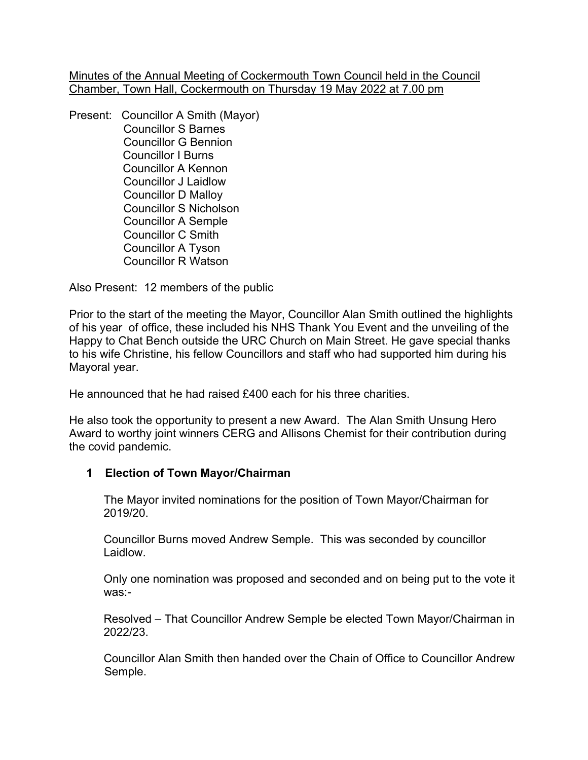Minutes of the Annual Meeting of Cockermouth Town Council held in the Council Chamber, Town Hall, Cockermouth on Thursday 19 May 2022 at 7.00 pm

Present: Councillor A Smith (Mayor) Councillor S Barnes Councillor G Bennion Councillor I Burns Councillor A Kennon Councillor J Laidlow Councillor D Malloy Councillor S Nicholson Councillor A Semple Councillor C Smith Councillor A Tyson Councillor R Watson

Also Present: 12 members of the public

Prior to the start of the meeting the Mayor, Councillor Alan Smith outlined the highlights of his year of office, these included his NHS Thank You Event and the unveiling of the Happy to Chat Bench outside the URC Church on Main Street. He gave special thanks to his wife Christine, his fellow Councillors and staff who had supported him during his Mayoral year.

He announced that he had raised £400 each for his three charities.

He also took the opportunity to present a new Award. The Alan Smith Unsung Hero Award to worthy joint winners CERG and Allisons Chemist for their contribution during the covid pandemic.

# **1 Election of Town Mayor/Chairman**

The Mayor invited nominations for the position of Town Mayor/Chairman for 2019/20.

Councillor Burns moved Andrew Semple. This was seconded by councillor Laidlow.

Only one nomination was proposed and seconded and on being put to the vote it was:-

Resolved – That Councillor Andrew Semple be elected Town Mayor/Chairman in 2022/23.

Councillor Alan Smith then handed over the Chain of Office to Councillor Andrew Semple.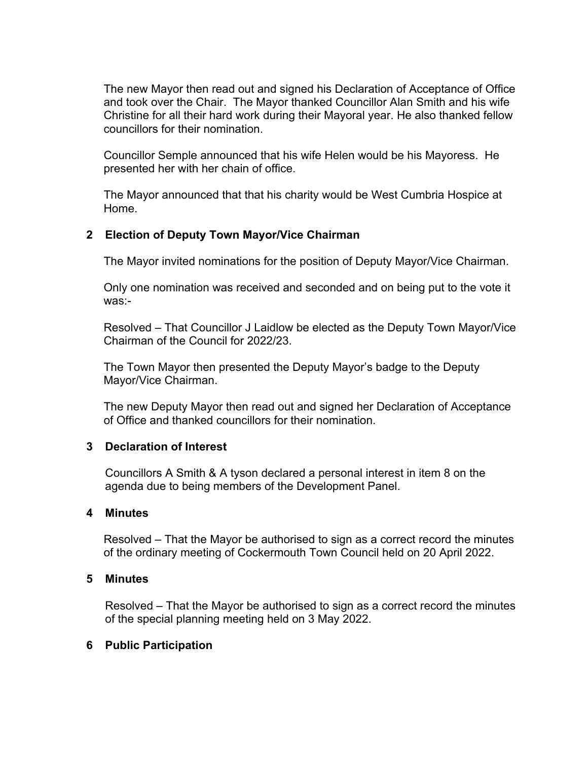The new Mayor then read out and signed his Declaration of Acceptance of Office and took over the Chair. The Mayor thanked Councillor Alan Smith and his wife Christine for all their hard work during their Mayoral year. He also thanked fellow councillors for their nomination.

Councillor Semple announced that his wife Helen would be his Mayoress. He presented her with her chain of office.

The Mayor announced that that his charity would be West Cumbria Hospice at Home.

# **2 Election of Deputy Town Mayor/Vice Chairman**

The Mayor invited nominations for the position of Deputy Mayor/Vice Chairman.

Only one nomination was received and seconded and on being put to the vote it was:-

Resolved – That Councillor J Laidlow be elected as the Deputy Town Mayor/Vice Chairman of the Council for 2022/23.

The Town Mayor then presented the Deputy Mayor's badge to the Deputy Mayor/Vice Chairman.

The new Deputy Mayor then read out and signed her Declaration of Acceptance of Office and thanked councillors for their nomination.

# **3 Declaration of Interest**

Councillors A Smith & A tyson declared a personal interest in item 8 on the agenda due to being members of the Development Panel.

# **4 Minutes**

Resolved – That the Mayor be authorised to sign as a correct record the minutes of the ordinary meeting of Cockermouth Town Council held on 20 April 2022.

# **5 Minutes**

Resolved – That the Mayor be authorised to sign as a correct record the minutes of the special planning meeting held on 3 May 2022.

# **6 Public Participation**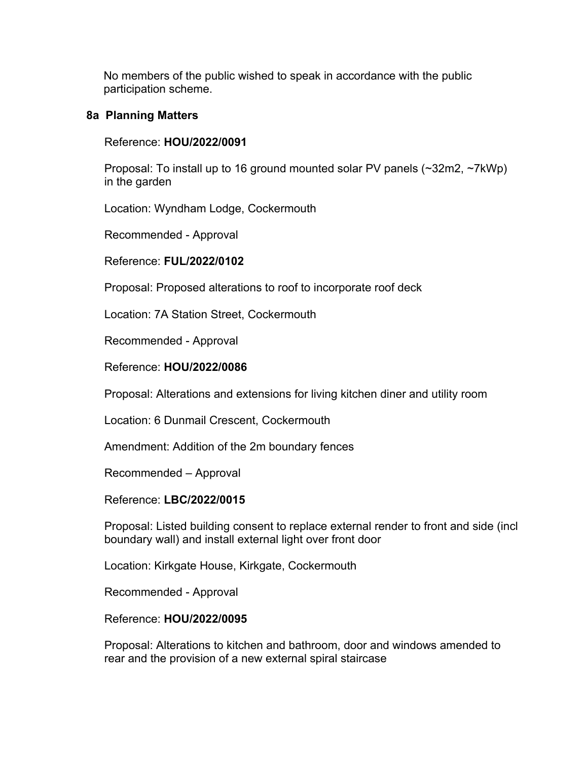No members of the public wished to speak in accordance with the public participation scheme.

## **8a Planning Matters**

## Reference: **HOU/2022/0091**

 Proposal: To install up to 16 ground mounted solar PV panels (~32m2, ~7kWp) in the garden

Location: Wyndham Lodge, Cockermouth

Recommended - Approval

## Reference: **FUL/2022/0102**

Proposal: Proposed alterations to roof to incorporate roof deck

Location: 7A Station Street, Cockermouth

Recommended - Approval

## Reference: **HOU/2022/0086**

Proposal: Alterations and extensions for living kitchen diner and utility room

Location: 6 Dunmail Crescent, Cockermouth

Amendment: Addition of the 2m boundary fences

Recommended – Approval

#### Reference: **LBC/2022/0015**

 Proposal: Listed building consent to replace external render to front and side (incl boundary wall) and install external light over front door

Location: Kirkgate House, Kirkgate, Cockermouth

Recommended - Approval

#### Reference: **HOU/2022/0095**

 Proposal: Alterations to kitchen and bathroom, door and windows amended to rear and the provision of a new external spiral staircase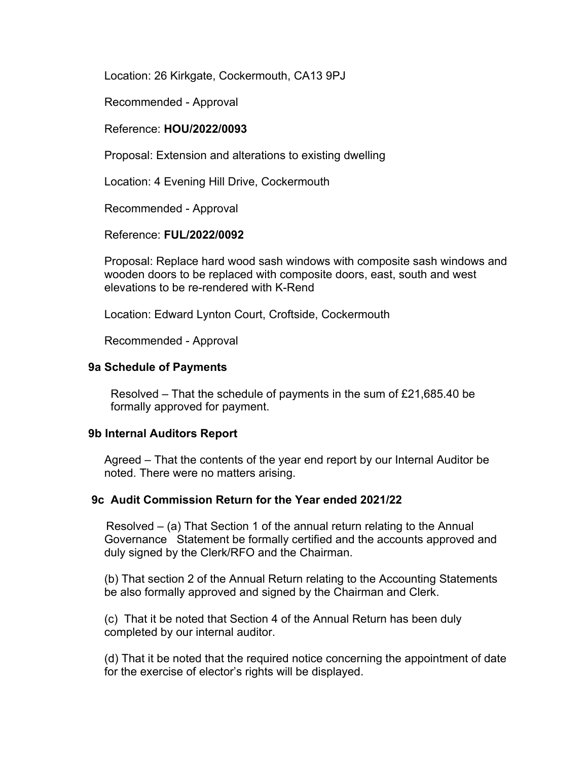Location: 26 Kirkgate, Cockermouth, CA13 9PJ

Recommended - Approval

## Reference: **HOU/2022/0093**

Proposal: Extension and alterations to existing dwelling

Location: 4 Evening Hill Drive, Cockermouth

Recommended - Approval

## Reference: **FUL/2022/0092**

 Proposal: Replace hard wood sash windows with composite sash windows and wooden doors to be replaced with composite doors, east, south and west elevations to be re-rendered with K-Rend

Location: Edward Lynton Court, Croftside, Cockermouth

Recommended - Approval

#### **9a Schedule of Payments**

Resolved – That the schedule of payments in the sum of £21,685.40 be formally approved for payment.

#### **9b Internal Auditors Report**

 Agreed – That the contents of the year end report by our Internal Auditor be noted. There were no matters arising.

#### **9c Audit Commission Return for the Year ended 2021/22**

Resolved – (a) That Section 1 of the annual return relating to the Annual Governance Statement be formally certified and the accounts approved and duly signed by the Clerk/RFO and the Chairman.

 (b) That section 2 of the Annual Return relating to the Accounting Statements be also formally approved and signed by the Chairman and Clerk.

 (c) That it be noted that Section 4 of the Annual Return has been duly completed by our internal auditor.

 (d) That it be noted that the required notice concerning the appointment of date for the exercise of elector's rights will be displayed.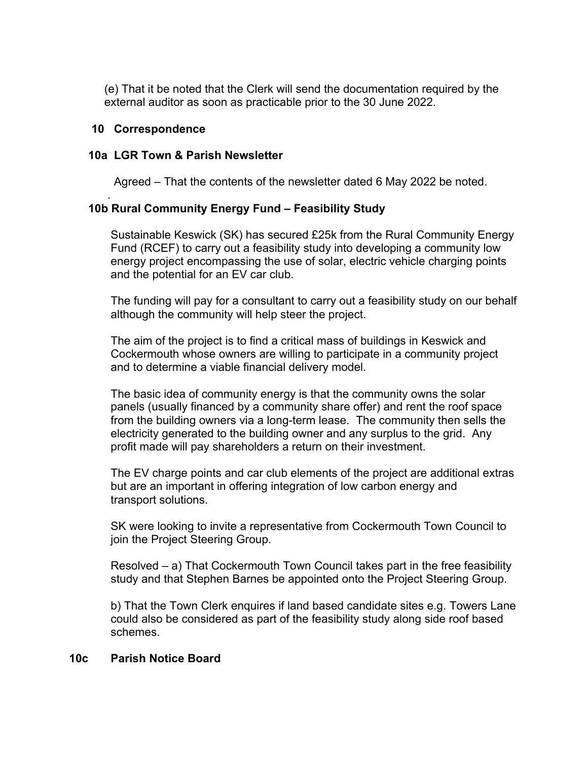(e) That it be noted that the Clerk will send the documentation required by the external auditor as soon as practicable prior to the 30 June 2022.

## **10 Correspondence**

.

## **10a LGR Town & Parish Newsletter**

Agreed – That the contents of the newsletter dated 6 May 2022 be noted.

# **10b Rural Community Energy Fund – Feasibility Study**

Sustainable Keswick (SK) has secured £25k from the Rural Community Energy Fund (RCEF) to carry out a feasibility study into developing a community low energy project encompassing the use of solar, electric vehicle charging points and the potential for an EV car club.

 The funding will pay for a consultant to carry out a feasibility study on our behalf although the community will help steer the project.

 The aim of the project is to find a critical mass of buildings in Keswick and Cockermouth whose owners are willing to participate in a community project and to determine a viable financial delivery model.

 The basic idea of community energy is that the community owns the solar panels (usually financed by a community share offer) and rent the roof space from the building owners via a long-term lease. The community then sells the electricity generated to the building owner and any surplus to the grid. Any profit made will pay shareholders a return on their investment.

 The EV charge points and car club elements of the project are additional extras but are an important in offering integration of low carbon energy and transport solutions.

 SK were looking to invite a representative from Cockermouth Town Council to join the Project Steering Group.

 Resolved – a) That Cockermouth Town Council takes part in the free feasibility study and that Stephen Barnes be appointed onto the Project Steering Group.

 b) That the Town Clerk enquires if land based candidate sites e.g. Towers Lane could also be considered as part of the feasibility study along side roof based schemes.

# **10c Parish Notice Board**